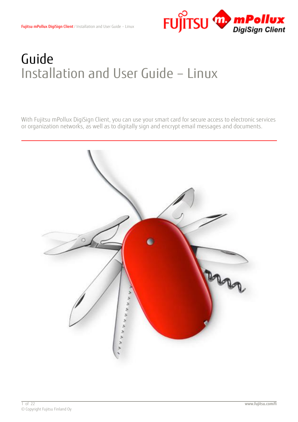

# Guide Installation and User Guide – Linux

With Fujitsu mPollux DigiSign Client, you can use your smart card for secure access to electronic services or organization networks, as well as to digitally sign and encrypt email messages and documents.

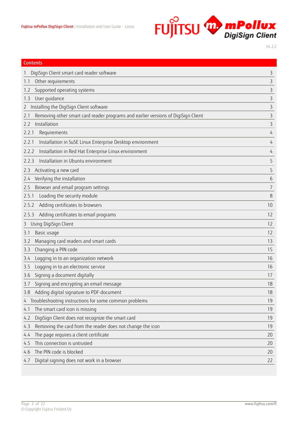

| <b>Contents</b>                                                                          |                |
|------------------------------------------------------------------------------------------|----------------|
| DigiSign Client smart card reader software                                               | 3              |
| Other requirements<br>1.1                                                                | 3              |
| Supported operating systems<br>1.2                                                       | 3              |
| User guidance<br>1.3                                                                     | 3              |
| Installing the DigiSign Client software<br>$\mathcal{L}$                                 | 3              |
| Removing other smart card reader programs and earlier versions of DigiSign Client<br>2.1 | 3              |
| Installation<br>2.2                                                                      | 3              |
| 2.2.1<br>Requirements                                                                    | $\overline{4}$ |
| Installation in SuSE Linux Enterprise Desktop environment<br>2.2.1                       | 4              |
| Installation in Red Hat Enterprise Linux environment<br>2.2.2                            | 4              |
| Installation in Ubuntu environment<br>2.2.3                                              | 5              |
| Activating a new card<br>2.3                                                             | 5              |
| Verifying the installation<br>2.4                                                        | 6              |
| Browser and email program settings<br>2.5                                                | 7              |
| Loading the security module<br>2.5.1                                                     | 8              |
| Adding certificates to browsers<br>2.5.2                                                 | 10             |
| Adding certificates to email programs<br>2.5.3                                           | 12             |
| Using DigiSign Client<br>3                                                               | 12             |
| Basic usage<br>3.1                                                                       | 12             |
| Managing card readers and smart cards<br>3.2                                             | 13             |
| Changing a PIN code<br>3.3                                                               | 15             |
| Logging in to an organization network<br>3.4                                             | 16             |
| Logging in to an electronic service<br>3.5                                               | 16             |
| Signing a document digitally<br>3.6                                                      | 17             |
| Signing and encrypting an email message<br>3.7                                           | 18             |
| Adding digital signature to PDF-document<br>3.8                                          | 18             |
| Troubleshooting instructions for some common problems<br>4                               | 19             |
| The smart card icon is missing<br>4.1                                                    | 19             |
| DigiSign Client does not recognize the smart card<br>4.2                                 | 19             |
| Removing the card from the reader does not change the icon<br>4.3                        | 19             |
| The page requires a client certificate<br>4.4                                            | 20             |
| This connection is untrusted<br>4.5                                                      | 20             |
| The PIN code is blocked<br>4.6                                                           | 20             |
| Digital signing does not work in a browser<br>4.7                                        | 22             |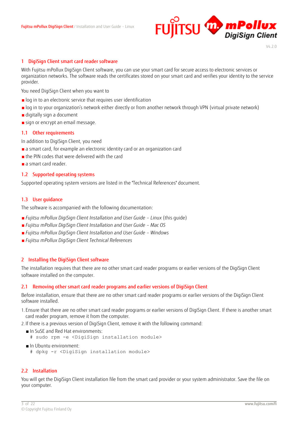

#### <span id="page-2-0"></span>1 DigiSign Client smart card reader software

With Fujitsu mPollux DigiSign Client software, you can use your smart card for secure access to electronic services or organization networks. The software reads the certificates stored on your smart card and verifies your identity to the service provider.

You need DigiSign Client when you want to

- log in to an electronic service that requires user identification
- ■log in to your organization's network either directly or from another network through VPN (virtual private network)
- digitally sign a document
- sign or encrypt an email message.

#### <span id="page-2-1"></span>1.1 Other requirements

In addition to DigiSign Client, you need

- a smart card, for example an electronic identity card or an organization card
- ■the PIN codes that were delivered with the card
- a smart card reader.

#### <span id="page-2-2"></span>1.2 Supported operating systems

Supported operating system versions are listed in the "Technical References" document.

#### <span id="page-2-3"></span>1.3 User guidance

The software is accompanied with the following documentation:

- *Fujitsu mPollux DigiSign Client Installation and User Guide Linux (this guide)*
- ■*Fujitsu mPollux DigiSign Client Installation and User Guide – Mac OS*
- ■*Fujitsu mPollux DigiSign Client Installation and User Guide – Windows*
- ■*Fujitsu mPollux DigiSign Client Technical References*

#### <span id="page-2-4"></span>2 Installing the DigiSign Client software

The installation requires that there are no other smart card reader programs or earlier versions of the DigiSign Client software installed on the computer.

#### <span id="page-2-5"></span>2.1 Removing other smart card reader programs and earlier versions of DigiSign Client

Before installation, ensure that there are no other smart card reader programs or earlier versions of the DigiSign Client software installed.

- 1. Ensure that there are no other smart card reader programs or earlier versions of DigiSign Client. If there is another smart card reader program, remove it from the computer.
- 2. If there is a previous version of DigiSign Client, remove it with the following command:
	- ■In SuSE and Red Hat environments:
		- # sudo rpm -e <DigiSign installation module>
	- In Ubuntu environment:
		- # dpkg -r <DigiSign installation module>

# <span id="page-2-6"></span>2.2 Installation

You will get the DigiSign Client installation file from the smart card provider or your system administrator. Save the file on your computer.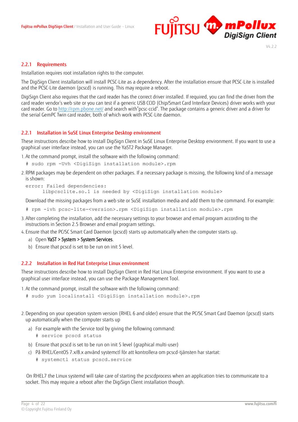

# <span id="page-3-0"></span>2.2.1 Requirements

Installation requires root installation rights to the computer.

The DigiSign Client installation will install PCSC-Lite as a dependency. After the installation ensure that PCSC-Lite is installed and the PCSC-Lite daemon (pcscd) is running. This may require a reboot.

DigiSign Client also requires that the card reader has the correct driver installed. If required, you can find the driver from the card reader vendor's web site or you can test if a generic USB CCID (Chip/Smart Card Interface Devices) driver works with your card reader. Go to<http://rpm.pbone.net/> and search with"pcsc-ccid". The package contains a generic driver and a driver for the serial GemPC Twin card reader, both of which work with PCSC-Lite daemon.

# <span id="page-3-1"></span>2.2.1 Installation in SuSE Linux Enterprise Desktop environment

These instructions describe how to install DigiSign Client in SuSE Linux Enterprise Desktop environment. If you want to use a graphical user interface instead, you can use the YaST2 Package Manager.

1.At the command prompt, install the software with the following command:

- # sudo rpm -Uvh <DigiSign installation module>.rpm
- 2. RPM packages may be dependent on other packages. If a necessary package is missing, the following kind of a message is shown:

```
error: Failed dependencies:
libpcsclite.so.1 is needed by <DigiSign installation module>
```
Download the missing packages from a web site or SuSE installation media and add them to the command. For example:

- # rpm -ivh pcsc-lite-<version>.rpm <DigiSign installation module>.rpm
- 3.After completing the installation, add the necessary settings to your browser and email program according to the instructions in Section 2.5 [Browser and email program settings.](#page-6-0)
- 4. Ensure that the PC/SC Smart Card Daemon (pcscd) starts up automatically when the computer starts up.
	- a) Open YaST > System > System Services.
	- b) Ensure that pcscd is set to be run on init 5 level.

#### <span id="page-3-2"></span>2.2.2 Installation in Red Hat Enterprise Linux environment

These instructions describe how to install DigiSign Client in Red Hat Linux Enterprise environment. If you want to use a graphical user interface instead, you can use the Package Management Tool.

1.At the command prompt, install the software with the following command:

- # sudo yum localinstall <DigiSign installation module>.rpm
- 2.Depending on your operation system version (RHEL 6 and older) ensure that the PC/SC Smart Card Daemon (pcscd) starts up automatically when the computer starts up
	- a) For example with the Service tool by giving the following command:
		- # service pcscd status
	- b) Ensure that pcscd is set to be run on init 5 level (graphical multi-user)
	- c) På RHEL/CentOS 7.x/8.x använd systemctl för att kontrollera om pcscd-tjänsten har startat:
		- # systemctl status pcscd.service

 On RHEL7 the Linux systemd will take care of starting the pcscdprocess when an application tries to communicate to a socket. This may require a reboot after the DigiSign Client installation though.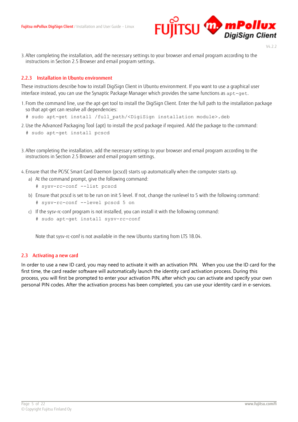

- $V4.2.2$
- 3.After completing the installation, add the necessary settings to your browser and email program according to the instructions in Section [2.5](#page-6-0) [Browser and email program settings.](#page-6-0)

#### <span id="page-4-0"></span>2.2.3 Installation in Ubuntu environment

These instructions describe how to install DigiSign Client in Ubuntu environment. If you want to use a graphical user interface instead, you can use the Synaptic Package Manager which provides the same functions as apt-get.

- 1. From the command line, use the apt-get tool to install the DigiSign Client. Enter the full path to the installation package so that apt-get can resolve all dependencies:
	- # sudo apt-get install /full\_path/<DigiSign installation module>.deb
- 2.Use the Advanced Packaging Tool (apt) to install the pcsd package if required. Add the package to the command:
	- # sudo apt-get install pcscd
- 3.After completing the installation, add the necessary settings to your browser and email program according to the instructions in Section [2.5](#page-6-0) [Browser and email program settings.](#page-6-0)
- 4. Ensure that the PC/SC Smart Card Daemon (pcscd) starts up automatically when the computer starts up.
	- a) At the command prompt, give the following command:
		- # sysv-rc-conf --list pcscd
	- b) Ensure that pcscd is set to be run on init 5 level. If not, change the runlevel to 5 with the following command:
		- # sysv-rc-conf --level pcscd 5 on
	- c) If the sysv-rc-conf program is not installed, you can install it with the following command:
		- # sudo apt-get install sysv-rc-conf

Note that sysv-rc-conf is not available in the new Ubuntu starting from LTS 18.04.

#### <span id="page-4-1"></span>2.3 Activating a new card

In order to use a new ID card, you may need to activate it with an activation PIN. When you use the ID card for the first time, the card reader software will automatically launch the identity card activation process. During this process, you will first be prompted to enter your activation PIN, after which you can activate and specify your own personal PIN codes. After the activation process has been completed, you can use your identity card in e-services.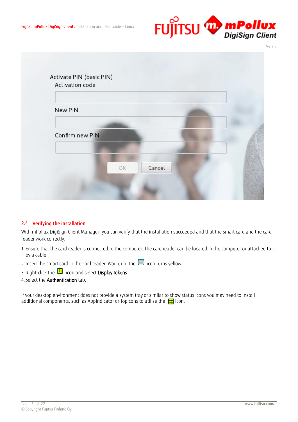

| New PIN         |    |        |  |
|-----------------|----|--------|--|
|                 |    |        |  |
| Confirm new PIN |    |        |  |
|                 |    |        |  |
|                 | OK | Cancel |  |

# <span id="page-5-0"></span>2.4 Verifying the installation

With mPollux DigiSign Client Manager, you can verify that the installation succeeded and that the smart card and the card reader work correctly.

- 1. Ensure that the card reader is connected to the computer. The card reader can be located in the computer or attached to it by a cable.
- 2. Insert the smart card to the card reader. Wait until the  $\Box$  icon turns yellow.
- 3. Right-click the  $\boxplus$  icon and select **Display tokens**.
- 4. Select the Authentication tab.

If your desktop environment does not provide a system tray or similar to show status icons you may need to install additional components, such as AppIndicator or TopIcons to utilise the  $\Box$  icon.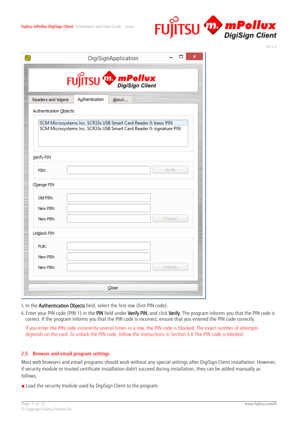

|                        |                | FUJITSU W mPollux                                                                                                                      |        |
|------------------------|----------------|----------------------------------------------------------------------------------------------------------------------------------------|--------|
| Readers and tokens     | Authentication | About                                                                                                                                  |        |
| Authentication Objects |                |                                                                                                                                        |        |
|                        |                | SCM Microsystems Inc. SCR33x USB Smart Card Reader 0: basic PIN<br>SCM Microsystems Inc. SCR33x USB Smart Card Reader 0: signature PIN |        |
| Verify PIN             |                |                                                                                                                                        |        |
| PIN:                   |                |                                                                                                                                        | Verify |
| Change PIN             |                |                                                                                                                                        |        |
| Old PIN:               |                |                                                                                                                                        |        |
| New PIN:               |                |                                                                                                                                        |        |
|                        |                |                                                                                                                                        | Change |
| New PIN:               |                |                                                                                                                                        |        |
| Unblock PIN            |                |                                                                                                                                        |        |
| PUK:                   |                |                                                                                                                                        |        |
| New PIN:               |                |                                                                                                                                        |        |

5. In the Authentication Objects field, select the first row (first PIN code).

6. Enter your PIN code (PIN 1) in the PIN field under Verify PIN, and click Verify. The program informs you that the PIN code is correct. If the program informs you that the PIN code is incorrect, ensure that you entered the PIN code correctly.

If you enter the PIN code incorrectly several times in a row, the PIN code is blocked. The exact number of attempts depends on the card. To unlock the PIN code, follow the instructions in Section 4.6 The PIN code is blocked.

# <span id="page-6-0"></span>2.5 Browser and email program settings

Most web browsers and email programs should work without any special settings after DigiSign Client installation. However, if security module or trusted certificate installation didn't succeed during installation, they can be added manually as follows;

■Load the security module used by DigiSign Client to the program.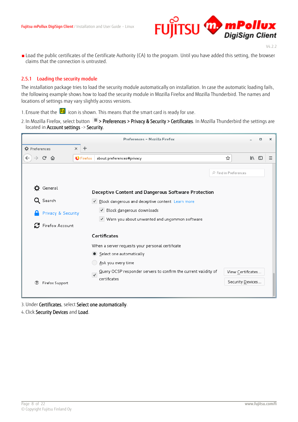

■ Load the public certificates of the Certificate Authority (CA) to the program. Until you have added this setting, the browser claims that the connection is untrusted.

#### <span id="page-7-0"></span>2.5.1 Loading the security module

The installation package tries to load the security module automatically on installation. In case the automatic loading fails, the following example shows how to load the security module in Mozilla Firefox and Mozilla Thunderbird. The names and locations of settings may vary slightly across versions.

1. Ensure that the  $\overline{\mathbf{H}}$  icon is shown. This means that the smart card is ready for use.

2. In Mozilla Firefox, select button  $\equiv$  > Preferences > Privacy & Security > Certificates. In Mozilla Thunderbird the settings are located in Account settings -> Security.



3.Under Certificates, select Select one automatically.

4. Click Security Devices and Load.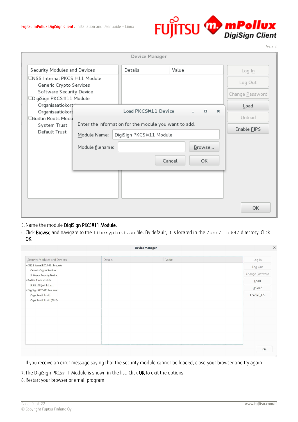

|                                                                                                                  |                                  | Device Manager                                                                                          |        |                                    |                                      |
|------------------------------------------------------------------------------------------------------------------|----------------------------------|---------------------------------------------------------------------------------------------------------|--------|------------------------------------|--------------------------------------|
| Security Modules and Devices                                                                                     |                                  | Details                                                                                                 | Value  |                                    | $Log ln$                             |
| □NSS Internal PKCS #11 Module<br>Generic Crypto Services<br>Software Security Device<br>⊟DigiSign PKCS#11 Module |                                  |                                                                                                         |        |                                    | Log Out<br>Change Password           |
| Organisaatiokort<br>Organisaatiokort<br>Builtin Roots Modu<br>System Trust<br>Default Trust                      | Module Name:<br>Module filename: | Load PKCS#11 Device<br>Enter the information for the module you want to add.<br>DigiSign PKCS#11 Module | Cancel | $\times$<br>$\Box$<br>Browse<br>OK | Load<br>Unload<br>Enable <b>FIPS</b> |
|                                                                                                                  |                                  |                                                                                                         |        |                                    | OK                                   |

# 5.Name the module DigiSign PKCS#11 Module.

6. Click Browse and navigate to the libcryptoki.so file. By default, it is located in the /usr/lib64/ directory. Click OK.

| <b>Device Manager</b>                               |         |       |                    |
|-----------------------------------------------------|---------|-------|--------------------|
| Security Modules and Devices                        | Details | Value | $Log ln$           |
| ∨NSS Internal PKCS #11 Module                       |         |       | $Log$ Out          |
| Generic Crypto Services<br>Software Security Device |         |       | Change Password    |
| ∨Builtin Roots Module                               |         |       | Load               |
| Builtin Object Token<br>√DigiSign PKCS#11 Module    |         |       | Unload             |
| Organisaatiokortti                                  |         |       | Enable <b>FIPS</b> |
| Organisaatiokortti (PIN2)                           |         |       |                    |
|                                                     |         |       |                    |
|                                                     |         |       |                    |
|                                                     |         |       |                    |
|                                                     |         |       |                    |
|                                                     |         |       |                    |
|                                                     |         |       |                    |
|                                                     |         |       |                    |
|                                                     |         |       | OK                 |

If you receive an error message saying that the security module cannot be loaded, close your browser and try again.

7. The DigiSign PKCS#11 Module is shown in the list. Click OK to exit the options.

8. Restart your browser or email program.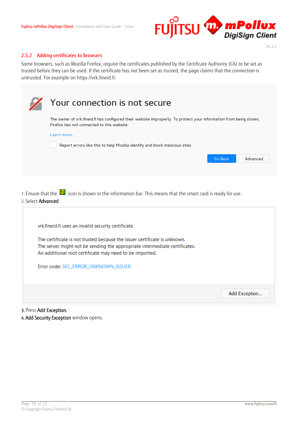

#### <span id="page-9-0"></span>2.5.2 Adding certificates to browsers

Some browsers, such as Mozilla Firefox, require the certificates published by the Certificate Authority (CA) to be set as trusted before they can be used. If the certificate has not been set as trusted, the page claims that the connection is untrusted. For example on https://vrk.fineid.fi:

|                           | Your connection is not secure                                                                                                                                                                                      |
|---------------------------|--------------------------------------------------------------------------------------------------------------------------------------------------------------------------------------------------------------------|
|                           | The owner of vrk.fineid.fi has configured their website improperly. To protect your information from being stolen,<br>Firefox has not connected to this website.                                                   |
|                           | Learn more<br>Report errors like this to help Mozilla identify and block malicious sites                                                                                                                           |
|                           | Advanced<br><b>Go Back</b>                                                                                                                                                                                         |
|                           |                                                                                                                                                                                                                    |
| 2. Select <b>Advanced</b> | 1. Ensure that the $\boxplus$ icon is shown in the information bar. This means that the smart card is ready for use.                                                                                               |
|                           | vrk.fineid.fi uses an invalid security certificate.                                                                                                                                                                |
|                           | The certificate is not trusted because the issuer certificate is unknown.<br>The server might not be sending the appropriate intermediate certificates.<br>An additional root certificate may need to be imported. |

Error code: SEC\_ERROR\_UNKNOWN\_ISSUER

Add Exception...

3. Press Add Exception.

4. Add Security Exception window opens.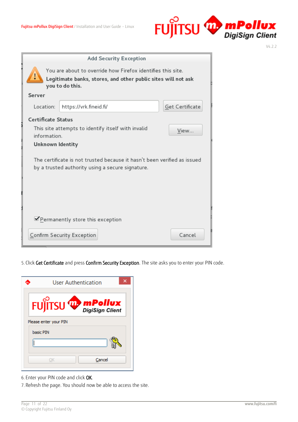

|                                                                                                                                                 | <b>Add Security Exception</b>                                                                                                |                 |  |  |  |
|-------------------------------------------------------------------------------------------------------------------------------------------------|------------------------------------------------------------------------------------------------------------------------------|-----------------|--|--|--|
| You are about to override how Firefox identifies this site.<br>Legitimate banks, stores, and other public sites will not ask<br>you to do this. |                                                                                                                              |                 |  |  |  |
| Server                                                                                                                                          |                                                                                                                              |                 |  |  |  |
| Location:                                                                                                                                       | https://vrk.fineid.fi/                                                                                                       | Get Certificate |  |  |  |
| Certificate Status                                                                                                                              |                                                                                                                              |                 |  |  |  |
| information.                                                                                                                                    | This site attempts to identify itself with invalid                                                                           | View            |  |  |  |
| Unknown Identity                                                                                                                                |                                                                                                                              |                 |  |  |  |
|                                                                                                                                                 | The certificate is not trusted because it hasn't been verified as issued<br>by a trusted authority using a secure signature. |                 |  |  |  |
|                                                                                                                                                 | Permanently store this exception                                                                                             |                 |  |  |  |
|                                                                                                                                                 | Confirm Security Exception                                                                                                   | Cancel          |  |  |  |

5. Click Get Certificate and press Confirm Security Exception. The site asks you to enter your PIN code.

|           | User Authentication          |        |  |
|-----------|------------------------------|--------|--|
|           | FUJITSU <sup>W</sup> mPollux |        |  |
|           | Please enter your PIN        |        |  |
| basic PIN |                              |        |  |
|           |                              |        |  |
|           |                              | Cancel |  |

- 6. Enter your PIN code and click OK.
- 7. Refresh the page. You should now be able to access the site.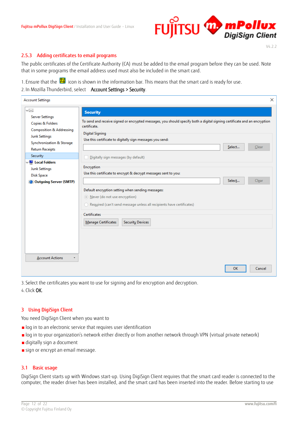# FUJITSU W mPollux

V4.2.2

# <span id="page-11-0"></span>2.5.3 Adding certificates to email programs

The public certificates of the Certificate Authority (CA) must be added to the email program before they can be used. Note that in some programs the email address used must also be included in the smart card.

1. Ensure that the  $\overline{\boxplus}$  icon is shown in the information bar. This means that the smart card is ready for use.

2. In Mozilla Thunderbird, select Account Settings > Security.

| <b>Account Settings</b>                                                                                                                                          | $\times$                                                                                                                                                                                                                                                                                 |
|------------------------------------------------------------------------------------------------------------------------------------------------------------------|------------------------------------------------------------------------------------------------------------------------------------------------------------------------------------------------------------------------------------------------------------------------------------------|
| $\vee\,\times$                                                                                                                                                   | <b>Security</b>                                                                                                                                                                                                                                                                          |
| <b>Server Settings</b><br>Copies & Folders<br><b>Composition &amp; Addressing</b><br><b>Junk Settings</b><br>Synchronization & Storage<br><b>Return Receipts</b> | To send and receive signed or encrypted messages, you should specify both a digital signing certificate and an encryption<br>certificate.<br><b>Digital Signing</b><br>Use this certificate to digitally sign messages you send:<br>Select<br>Clear                                      |
| Security                                                                                                                                                         | Digitally sign messages (by default)                                                                                                                                                                                                                                                     |
| $\vee$ Mell Local Folders<br>Junk Settings<br><b>Disk Space</b><br><b>Coutgoing Server (SMTP)</b>                                                                | Encryption<br>Use this certificate to encrypt & decrypt messages sent to you:<br>Select<br>Clear<br>Default encryption setting when sending messages:<br>Never (do not use encryption)<br>○ Required (can't send message unless all recipients have certificates)<br><b>Certificates</b> |
| <b>Account Actions</b>                                                                                                                                           | Manage Certificates<br><b>Security Devices</b>                                                                                                                                                                                                                                           |
|                                                                                                                                                                  | <b>OK</b><br>Cancel                                                                                                                                                                                                                                                                      |

3. Select the certificates you want to use for signing and for encryption and decryption. 4. Click OK.

#### <span id="page-11-1"></span>3 Using DigiSign Client

You need DigiSign Client when you want to

- log in to an electronic service that requires user identification
- ■log in to your organization's network either directly or from another network through VPN (virtual private network)
- digitally sign a document
- sign or encrypt an email message.

#### <span id="page-11-2"></span>3.1 Basic usage

DigiSign Client starts up with Windows start-up. Using DigiSign Client requires that the smart card reader is connected to the computer, the reader driver has been installed, and the smart card has been inserted into the reader. Before starting to use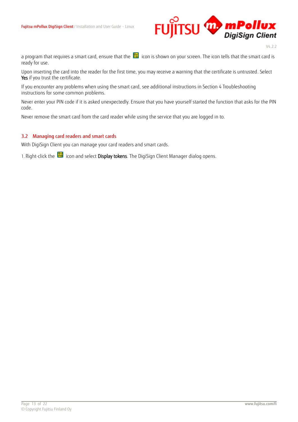

a program that requires a smart card, ensure that the  $\boxplus$  icon is shown on your screen. The icon tells that the smart card is ready for use.

Upon inserting the card into the reader for the first time, you may receive a warning that the certificate is untrusted. Select Yes if you trust the certificate.

If you encounter any problems when using the smart card, see additional instructions in Section [4](#page-18-0) [Troubleshooting](#page-18-0)  [instructions for some](#page-18-0) common problems.

Never enter your PIN code if it is asked unexpectedly. Ensure that you have yourself started the function that asks for the PIN code.

Never remove the smart card from the card reader while using the service that you are logged in to.

#### <span id="page-12-0"></span>3.2 Managing card readers and smart cards

With DigiSign Client you can manage your card readers and smart cards.

1. Right-click the  $\Xi$  icon and select Display tokens. The DigiSign Client Manager dialog opens.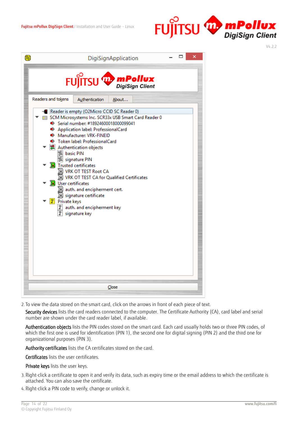

| ⊞<br>DigiSignApplication                                                                                                                                                                                                                                                                                                                                                                                                                                                                                                                                                                                                                                                                      |
|-----------------------------------------------------------------------------------------------------------------------------------------------------------------------------------------------------------------------------------------------------------------------------------------------------------------------------------------------------------------------------------------------------------------------------------------------------------------------------------------------------------------------------------------------------------------------------------------------------------------------------------------------------------------------------------------------|
| FUJITSU <b>Web mPollux</b>                                                                                                                                                                                                                                                                                                                                                                                                                                                                                                                                                                                                                                                                    |
| Readers and tokens<br>Authentication<br>About<br>- Reader is empty (O2Micro CCID SC Reader 0)<br>SCM Microsystems Inc. SCR33x USB Smart Card Reader 0<br>Serial number: #18924600018000099041<br>Application label: ProfessionalCard<br>◆ Manufacturer: VRK-FINEID<br>Token label: ProfessionalCard<br><b>2</b> Authentication objects<br><sup>图</sup> basic PIN<br><sup>图</sup> signature PIN<br><b>R</b> Trusted certificates<br>阆 VRK OT TEST Root CA<br>[8] VRK OT TEST CA for Qualified Certificates<br><b>R</b> User certificates<br>[8] auth. and encipherment cert.<br> 风 signature certificate<br><mark>了</mark> Private keys<br>្រី auth. and encipherment key<br>្នា signature key |
| Close                                                                                                                                                                                                                                                                                                                                                                                                                                                                                                                                                                                                                                                                                         |

2. To view the data stored on the smart card, click on the arrows in front of each piece of text.

Security devices lists the card readers connected to the computer. The Certificate Authority (CA), card label and serial number are shown under the card reader label, if available.

Authentication objects lists the PIN codes stored on the smart card. Each card usually holds two or three PIN codes, of which the first one is used for identification (PIN 1), the second one for digital signing (PIN 2) and the third one for organizational purposes (PIN 3).

Authority certificates lists the CA certificates stored on the card.

Certificates lists the user certificates.

Private keys lists the user keys.

- 3. Right-click a certificate to open it and verify its data, such as expiry time or the email address to which the certificate is attached. You can also save the certificate.
- 4. Right-click a PIN code to verify, change or unlock it.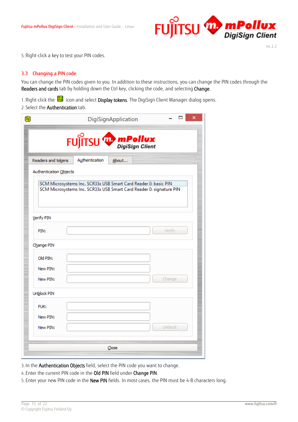

5. Right-click a key to test your PIN codes.

# <span id="page-14-0"></span>3.3 Changing a PIN code

You can change the PIN codes given to you. In addition to these instructions, you can change the PIN codes through the Readers and cards tab by holding down the Ctrl key, clicking the code, and selecting Change.

1. Right-click the  $\overline{\boxplus}$  icon and select Display tokens. The DigiSign Client Manager dialog opens.

2. Select the Authentication tab.

|                        |                                                                                                                                        | DigiSignApplication |                | ×<br>▭ |
|------------------------|----------------------------------------------------------------------------------------------------------------------------------------|---------------------|----------------|--------|
|                        | FUJITSU W mPollux                                                                                                                      |                     |                |        |
| Readers and tokens     | Authentication                                                                                                                         | About               |                |        |
| Authentication Objects |                                                                                                                                        |                     |                |        |
|                        | SCM Microsystems Inc. SCR33x USB Smart Card Reader 0: basic PIN<br>SCM Microsystems Inc. SCR33x USB Smart Card Reader 0: signature PIN |                     |                |        |
| Verify PIN             |                                                                                                                                        |                     |                |        |
| PIN:                   |                                                                                                                                        |                     | Verify         |        |
| Change PIN             |                                                                                                                                        |                     |                |        |
| Old PIN:               |                                                                                                                                        |                     |                |        |
| New PIN:               |                                                                                                                                        |                     |                |        |
| New PIN:               |                                                                                                                                        |                     | Change         |        |
| Unblock PIN            |                                                                                                                                        |                     |                |        |
| PUK:                   |                                                                                                                                        |                     |                |        |
| New PIN:               |                                                                                                                                        |                     |                |        |
| New PIN:               |                                                                                                                                        |                     | <b>Unblock</b> |        |
|                        |                                                                                                                                        | Close               |                |        |

3. In the Authentication Objects field, select the PIN code you want to change.

4. Enter the current PIN code in the Old PIN field under Change PIN.

5. Enter your new PIN code in the New PIN fields. In most cases, the PIN must be 4-8 characters long.

V4.2.2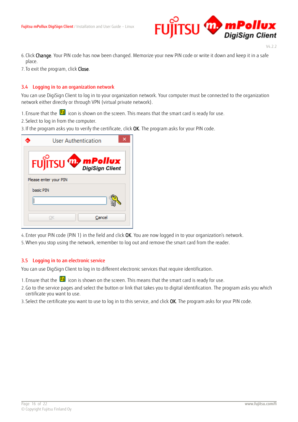

- 6. Click Change. Your PIN code has now been changed. Memorize your new PIN code or write it down and keep it in a safe place.
- 7. To exit the program, click Close.

#### <span id="page-15-0"></span>3.4 Logging in to an organization network

You can use DigiSign Client to log in to your organization network. Your computer must be connected to the organization network either directly or through VPN (virtual private network).

- 1. Ensure that the  $\bigoplus$  icon is shown on the screen. This means that the smart card is ready for use.
- 2. Select to log in from the computer.
- 3. If the program asks you to verify the certificate, click OK. The program asks for your PIN code.

| User Authentication                |  |
|------------------------------------|--|
| FUJITSU W mPollux                  |  |
| Please enter your PIN<br>basic PIN |  |
| Cancel<br>DК                       |  |

4. Enter your PIN code (PIN 1) in the field and click OK. You are now logged in to your organization's network.

5.When you stop using the network, remember to log out and remove the smart card from the reader.

#### <span id="page-15-1"></span>3.5 Logging in to an electronic service

You can use DigiSign Client to log in to different electronic services that require identification.

1. Ensure that the  $\bigoplus$  icon is shown on the screen. This means that the smart card is ready for use.

- 2.Go to the service pages and select the button or link that takes you to digital identification. The program asks you which certificate you want to use.
- 3. Select the certificate you want to use to log in to this service, and click OK. The program asks for your PIN code.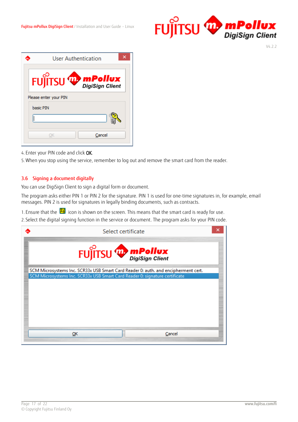

| User Authentication          |
|------------------------------|
| FUJITSU <sup>W</sup> mPollux |
| Please enter your PIN        |
| basic PIN                    |
|                              |
| Cancel                       |

4. Enter your PIN code and click OK.

5.When you stop using the service, remember to log out and remove the smart card from the reader.

# <span id="page-16-0"></span>3.6 Signing a document digitally

You can use DigiSign Client to sign a digital form or document.

The program asks either PIN 1 or PIN 2 for the signature. PIN 1 is used for one-time signatures in, for example, email messages. PIN 2 is used for signatures in legally binding documents, such as contracts.

1. Ensure that the  $\bigoplus$  icon is shown on the screen. This means that the smart card is ready for use.

2. Select the digital signing function in the service or document. The program asks for your PIN code.

| Select certificate                                                                                                                                                |        |
|-------------------------------------------------------------------------------------------------------------------------------------------------------------------|--------|
| FUJITSU <sup>W</sup> mPollux                                                                                                                                      |        |
| SCM Microsystems Inc. SCR33x USB Smart Card Reader 0: auth. and encipherment cert.<br>SCM Microsystems Inc. SCR33x USB Smart Card Reader 0: signature certificate |        |
|                                                                                                                                                                   |        |
|                                                                                                                                                                   |        |
|                                                                                                                                                                   |        |
|                                                                                                                                                                   |        |
| ОК                                                                                                                                                                | Cancel |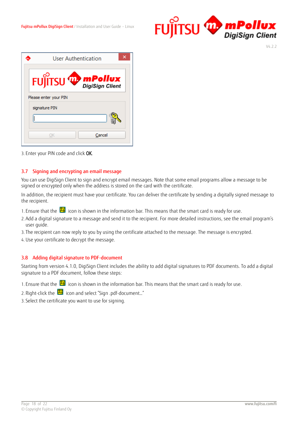

|                       | User Authentication |                           |  |
|-----------------------|---------------------|---------------------------|--|
|                       |                     | FUJITSU <b>WE mPollux</b> |  |
| Please enter your PIN |                     |                           |  |
| signature PIN         |                     |                           |  |
|                       |                     |                           |  |
|                       |                     | Cancel                    |  |

3. Enter your PIN code and click OK.

#### <span id="page-17-0"></span>3.7 Signing and encrypting an email message

You can use DigiSign Client to sign and encrypt email messages. Note that some email programs allow a message to be signed or encrypted only when the address is stored on the card with the certificate.

In addition, the recipient must have your certificate. You can deliver the certificate by sending a digitally signed message to the recipient.

- 1. Ensure that the  $\overline{\mathbf{u}}$  icon is shown in the information bar. This means that the smart card is ready for use.
- 2.Add a digital signature to a message and send it to the recipient. For more detailed instructions, see the email program's user guide.
- 3. The recipient can now reply to you by using the certificate attached to the message. The message is encrypted.
- 4.Use your certificate to decrypt the message.

#### <span id="page-17-1"></span>3.8 Adding digital signature to PDF-document

Starting from version 4.1.0, DigiSign Client includes the ability to add digital signatures to PDF documents. To add a digital signature to a PDF document, follow these steps:

- 1. Ensure that the  $\overline{\boxplus}$  icon is shown in the information bar. This means that the smart card is ready for use.
- 2. Right-click the  $\blacksquare$  icon and select "Sign .pdf-document..."
- 3. Select the certificate you want to use for signing.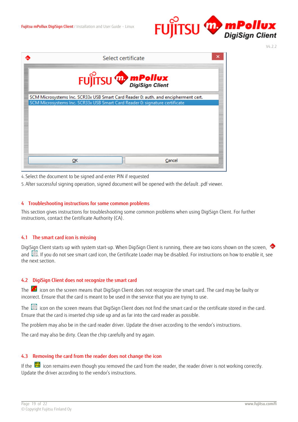

Select certificate A **The mPollux** SCM Microsystems Inc. SCR33x USB Smart Card Reader 0: auth. and encipherment cert. SCM Microsystems Inc. SCR33x USB Smart Card Reader 0: signature certificate  $QK$ Cancel

4. Select the document to be signed and enter PIN if requested

5.After successful signing operation, signed document will be opened with the default .pdf viewer.

#### <span id="page-18-0"></span>4 Troubleshooting instructions for some common problems

This section gives instructions for troubleshooting some common problems when using DigiSign Client. For further instructions, contact the Certificate Authority (CA).

#### <span id="page-18-1"></span>4.1 The smart card icon is missing

DigiSign Client starts up with system start-up. When DigiSign Client is running, there are two icons shown on the screen, and  $\Box$ . If you do not see smart card icon, the Certificate Loader may be disabled. For instructions on how to enable it, see the next section.

#### <span id="page-18-2"></span>4.2 DigiSign Client does not recognize the smart card

The  $\mathbb{E}_{\mathbf{d}}$  icon on the screen means that DigiSign Client does not recognize the smart card. The card may be faulty or incorrect. Ensure that the card is meant to be used in the service that you are trying to use.

The icon on the screen means that DigiSign Client does not find the smart card or the certificate stored in the card. Ensure that the card is inserted chip side up and as far into the card reader as possible.

The problem may also be in the card reader driver. Update the driver according to the vendor's instructions.

The card may also be dirty. Clean the chip carefully and try again.

#### <span id="page-18-3"></span>4.3 Removing the card from the reader does not change the icon

If the  $\boxplus$  icon remains even though you removed the card from the reader, the reader driver is not working correctly. Update the driver according to the vendor's instructions.

V4.2.2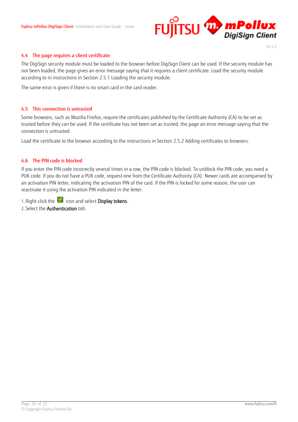

#### <span id="page-19-0"></span>4.4 The page requires a client certificate

The DigiSign security module must be loaded to the browser before DigiSign Client can be used. If the security module has not been loaded, the page gives an error message saying that it requires a client certificate. Load the security module according to in instructions in Section [2.5.1](#page-7-0) [Loading the security module.](#page-7-0)

The same error is given if there is no smart card in the card reader.

#### <span id="page-19-1"></span>4.5 This connection is untrusted

Some browsers, such as Mozilla Firefox, require the certificates published by the Certificate Authority (CA) to be set as trusted before they can be used. If the certificate has not been set as trusted, the page an error message saying that the connection is untrusted.

Load the certificate to the browser according to the instructions in Section [2.5.2](#page-9-0) [Adding certificates to browsers.](#page-9-0)

#### <span id="page-19-2"></span>4.6 The PIN code is blocked

If you enter the PIN code incorrectly several times in a row, the PIN code is blocked. To unblock the PIN code, you need a PUK code. If you do not have a PUK code, request one from the Certificate Authority (CA). Newer cards are accompanied by an activation PIN letter, indicating the activation PIN of the card. If the PIN is locked for some reason, the user can reactivate it using the activation PIN indicated in the letter.

1. Right-click the  $\Xi$  icon and select **Display tokens**.

2. Select the Authentication tab.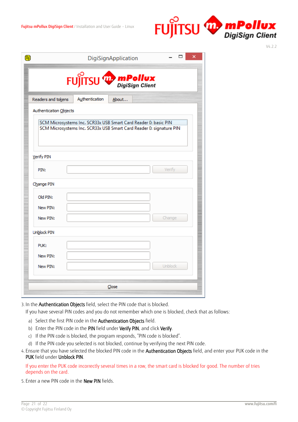

|                        |                | FUJITSU <b>Web mPollux</b>                                                                                                             |        |
|------------------------|----------------|----------------------------------------------------------------------------------------------------------------------------------------|--------|
| Readers and tokens     | Authentication | About                                                                                                                                  |        |
| Authentication Objects |                |                                                                                                                                        |        |
|                        |                | SCM Microsystems Inc. SCR33x USB Smart Card Reader 0: basic PIN<br>SCM Microsystems Inc. SCR33x USB Smart Card Reader 0: signature PIN |        |
| Verify PIN             |                |                                                                                                                                        |        |
| PIN:                   |                |                                                                                                                                        | Verify |
| Change PIN             |                |                                                                                                                                        |        |
| Old PIN:               |                |                                                                                                                                        |        |
| New PIN:               |                |                                                                                                                                        |        |
|                        |                |                                                                                                                                        | Change |
| New PIN:               |                |                                                                                                                                        |        |
| Unblock PIN            |                |                                                                                                                                        |        |
| PUK:                   |                |                                                                                                                                        |        |
| New PIN:               |                |                                                                                                                                        |        |

3. In the Authentication Objects field, select the PIN code that is blocked.

If you have several PIN codes and you do not remember which one is blocked, check that as follows:

- a) Select the first PIN code in the Authentication Objects field.
- b) Enter the PIN code in the PIN field under Verify PIN, and click Verify.
- c) If the PIN code is blocked, the program responds, "PIN code is blocked".
- d) If the PIN code you selected is not blocked, continue by verifying the next PIN code.
- 4. Ensure that you have selected the blocked PIN code in the Authentication Objects field, and enter your PUK code in the PUK field under Unblock PIN.

If you enter the PUK code incorrectly several times in a row, the smart card is blocked for good. The number of tries depends on the card.

5. Enter a new PIN code in the New PIN fields.